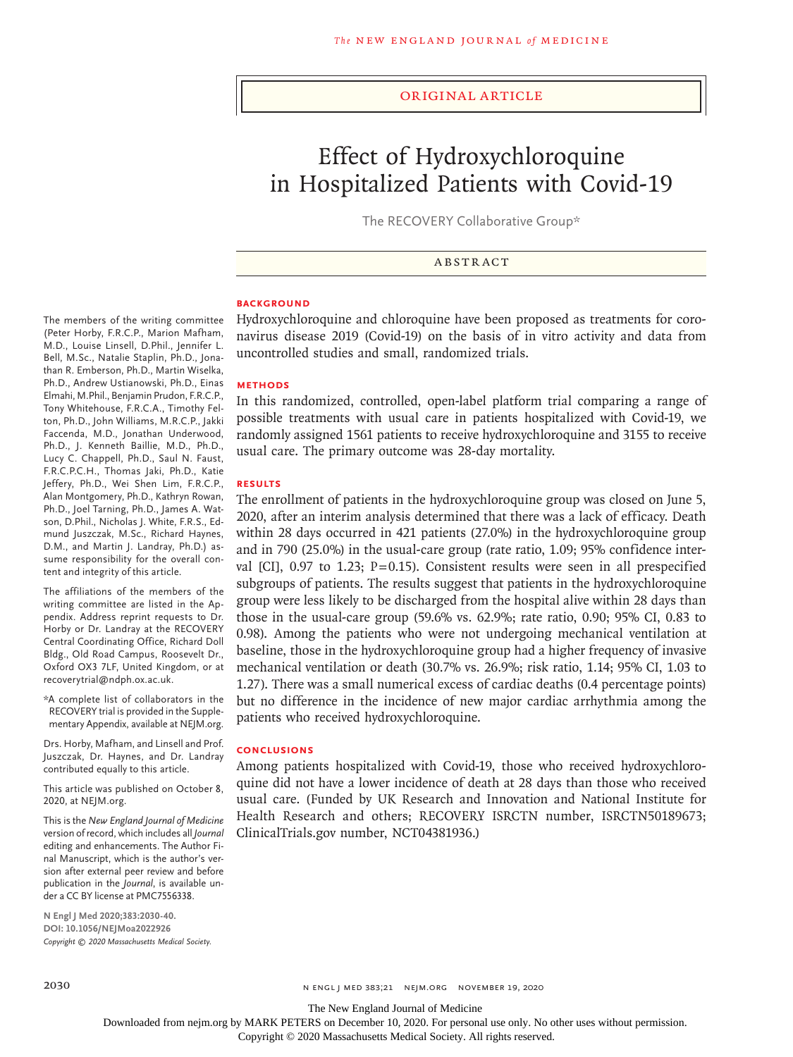#### Original Article

# Effect of Hydroxychloroquine in Hospitalized Patients with Covid-19

The RECOVERY Collaborative Group\*

ABSTRACT

## **BACKGROUND**

Hydroxychloroquine and chloroquine have been proposed as treatments for coronavirus disease 2019 (Covid-19) on the basis of in vitro activity and data from uncontrolled studies and small, randomized trials.

## **METHODS**

In this randomized, controlled, open-label platform trial comparing a range of possible treatments with usual care in patients hospitalized with Covid-19, we randomly assigned 1561 patients to receive hydroxychloroquine and 3155 to receive usual care. The primary outcome was 28-day mortality.

### **RESULTS**

The enrollment of patients in the hydroxychloroquine group was closed on June 5, 2020, after an interim analysis determined that there was a lack of efficacy. Death within 28 days occurred in 421 patients (27.0%) in the hydroxychloroquine group and in 790 (25.0%) in the usual-care group (rate ratio, 1.09; 95% confidence interval [CI], 0.97 to 1.23; P=0.15). Consistent results were seen in all prespecified subgroups of patients. The results suggest that patients in the hydroxychloroquine group were less likely to be discharged from the hospital alive within 28 days than those in the usual-care group (59.6% vs. 62.9%; rate ratio, 0.90; 95% CI, 0.83 to 0.98). Among the patients who were not undergoing mechanical ventilation at baseline, those in the hydroxychloroquine group had a higher frequency of invasive mechanical ventilation or death (30.7% vs. 26.9%; risk ratio, 1.14; 95% CI, 1.03 to 1.27). There was a small numerical excess of cardiac deaths (0.4 percentage points) but no difference in the incidence of new major cardiac arrhythmia among the patients who received hydroxychloroquine.

### **CONCLUSIONS**

Among patients hospitalized with Covid-19, those who received hydroxychloroquine did not have a lower incidence of death at 28 days than those who received usual care. (Funded by UK Research and Innovation and National Institute for Health Research and others; RECOVERY ISRCTN number, ISRCTN50189673; ClinicalTrials.gov number, NCT04381936.)

#### The members of the writing committee (Peter Horby, F.R.C.P., Marion Mafham, M.D., Louise Linsell, D.Phil., Jennifer L. Bell, M.Sc., Natalie Staplin, Ph.D., Jonathan R. Emberson, Ph.D., Martin Wiselka, Ph.D., Andrew Ustianowski, Ph.D., Einas Elmahi, M.Phil., Benjamin Prudon, F.R.C.P., Tony Whitehouse, F.R.C.A., Timothy Felton, Ph.D., John Williams, M.R.C.P., Jakki Faccenda, M.D., Jonathan Underwood, Ph.D., J. Kenneth Baillie, M.D., Ph.D., Lucy C. Chappell, Ph.D., Saul N. Faust, F.R.C.P.C.H., Thomas Jaki, Ph.D., Katie Jeffery, Ph.D., Wei Shen Lim, F.R.C.P., Alan Montgomery, Ph.D., Kathryn Rowan, Ph.D., Joel Tarning, Ph.D., James A. Watson, D.Phil., Nicholas J. White, F.R.S., Edmund Juszczak, M.Sc., Richard Haynes, D.M., and Martin J. Landray, Ph.D.) assume responsibility for the overall content and integrity of this article.

The affiliations of the members of the writing committee are listed in the Appendix. Address reprint requests to Dr. Horby or Dr. Landray at the RECOVERY Central Coordinating Office, Richard Doll Bldg., Old Road Campus, Roosevelt Dr., Oxford OX3 7LF, United Kingdom, or at recoverytrial@ndph.ox.ac.uk.

\*A complete list of collaborators in the RECOVERY trial is provided in the Supplementary Appendix, available at NEJM.org.

Drs. Horby, Mafham, and Linsell and Prof. Juszczak, Dr. Haynes, and Dr. Landray contributed equally to this article.

This article was published on October 8, 2020, at NEJM.org.

This is the *New England Journal of Medicine* version of record, which includes all *Journal* editing and enhancements. The Author Final Manuscript, which is the author's version after external peer review and before publication in the *Journal*, is available under a CC BY license at PMC7556338.

**N Engl J Med 2020;383:2030-40. DOI: 10.1056/NEJMoa2022926** *Copyright © 2020 Massachusetts Medical Society.*

The New England Journal of Medicine

Downloaded from nejm.org by MARK PETERS on December 10, 2020. For personal use only. No other uses without permission.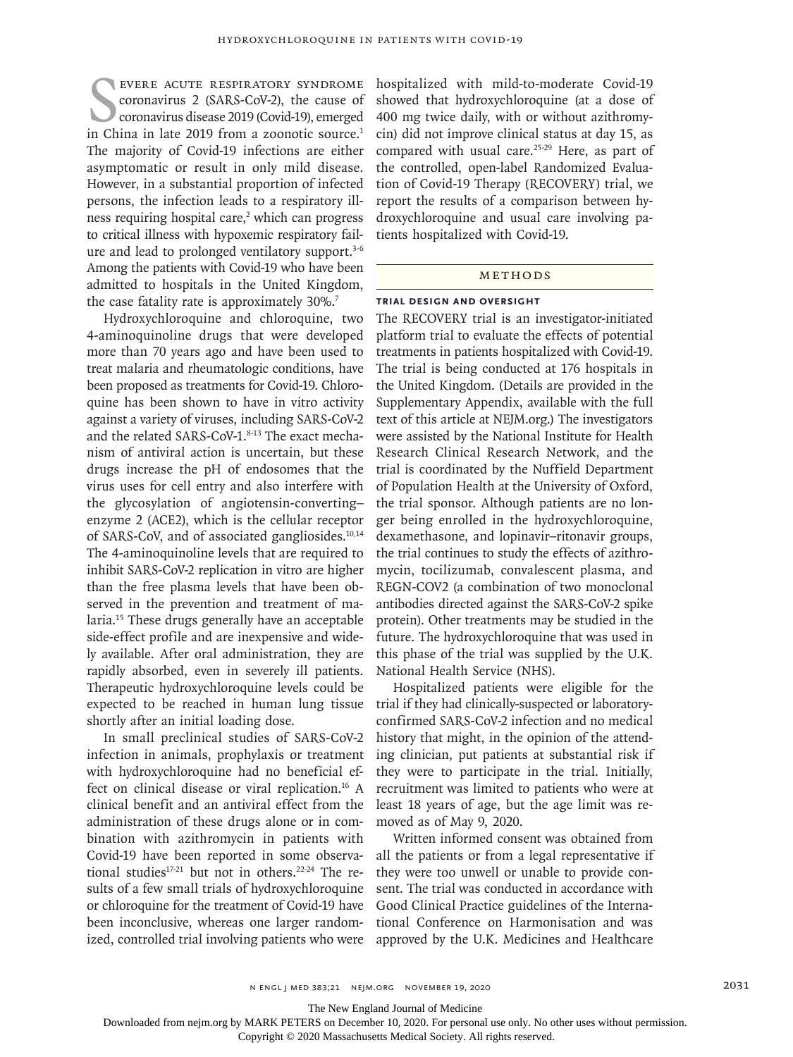EVERE ACUTE RESPIRATORY SYNDROME COTONOVITUS 2 (SARS-COV-2), the cause of coronavirus disease 2019 (Covid-19), emerged in China in late 2019 from a zoonotic source.<sup>1</sup> evere acute respiratory syndrome coronavirus 2 (SARS-CoV-2), the cause of coronavirus disease 2019 (Covid-19), emerged The majority of Covid-19 infections are either asymptomatic or result in only mild disease. However, in a substantial proportion of infected persons, the infection leads to a respiratory illness requiring hospital care,<sup>2</sup> which can progress to critical illness with hypoxemic respiratory failure and lead to prolonged ventilatory support.<sup>3-6</sup> Among the patients with Covid-19 who have been admitted to hospitals in the United Kingdom, the case fatality rate is approximately 30%.<sup>7</sup>

Hydroxychloroquine and chloroquine, two 4-aminoquinoline drugs that were developed more than 70 years ago and have been used to treat malaria and rheumatologic conditions, have been proposed as treatments for Covid-19. Chloroquine has been shown to have in vitro activity against a variety of viruses, including SARS-CoV-2 and the related SARS-CoV-1.8-13 The exact mechanism of antiviral action is uncertain, but these drugs increase the pH of endosomes that the virus uses for cell entry and also interfere with the glycosylation of angiotensin-converting– enzyme 2 (ACE2), which is the cellular receptor of SARS-CoV, and of associated gangliosides.<sup>10,14</sup> The 4-aminoquinoline levels that are required to inhibit SARS-CoV-2 replication in vitro are higher than the free plasma levels that have been observed in the prevention and treatment of malaria.15 These drugs generally have an acceptable side-effect profile and are inexpensive and widely available. After oral administration, they are rapidly absorbed, even in severely ill patients. Therapeutic hydroxychloroquine levels could be expected to be reached in human lung tissue shortly after an initial loading dose.

In small preclinical studies of SARS-CoV-2 infection in animals, prophylaxis or treatment with hydroxychloroquine had no beneficial effect on clinical disease or viral replication.<sup>16</sup> A clinical benefit and an antiviral effect from the administration of these drugs alone or in combination with azithromycin in patients with Covid-19 have been reported in some observational studies<sup>17-21</sup> but not in others.<sup>22-24</sup> The results of a few small trials of hydroxychloroquine or chloroquine for the treatment of Covid-19 have been inconclusive, whereas one larger randomized, controlled trial involving patients who were hospitalized with mild-to-moderate Covid-19 showed that hydroxychloroquine (at a dose of 400 mg twice daily, with or without azithromycin) did not improve clinical status at day 15, as compared with usual care.<sup>25-29</sup> Here, as part of the controlled, open-label Randomized Evaluation of Covid-19 Therapy (RECOVERY) trial, we report the results of a comparison between hydroxychloroquine and usual care involving patients hospitalized with Covid-19.

#### METHODS

#### **Trial Design and Oversight**

The RECOVERY trial is an investigator-initiated platform trial to evaluate the effects of potential treatments in patients hospitalized with Covid-19. The trial is being conducted at 176 hospitals in the United Kingdom. (Details are provided in the Supplementary Appendix, available with the full text of this article at NEJM.org.) The investigators were assisted by the National Institute for Health Research Clinical Research Network, and the trial is coordinated by the Nuffield Department of Population Health at the University of Oxford, the trial sponsor. Although patients are no longer being enrolled in the hydroxychloroquine, dexamethasone, and lopinavir–ritonavir groups, the trial continues to study the effects of azithromycin, tocilizumab, convalescent plasma, and REGN-COV2 (a combination of two monoclonal antibodies directed against the SARS-CoV-2 spike protein). Other treatments may be studied in the future. The hydroxychloroquine that was used in this phase of the trial was supplied by the U.K. National Health Service (NHS).

Hospitalized patients were eligible for the trial if they had clinically-suspected or laboratoryconfirmed SARS-CoV-2 infection and no medical history that might, in the opinion of the attending clinician, put patients at substantial risk if they were to participate in the trial. Initially, recruitment was limited to patients who were at least 18 years of age, but the age limit was removed as of May 9, 2020.

Written informed consent was obtained from all the patients or from a legal representative if they were too unwell or unable to provide consent. The trial was conducted in accordance with Good Clinical Practice guidelines of the International Conference on Harmonisation and was approved by the U.K. Medicines and Healthcare

The New England Journal of Medicine

Downloaded from nejm.org by MARK PETERS on December 10, 2020. For personal use only. No other uses without permission.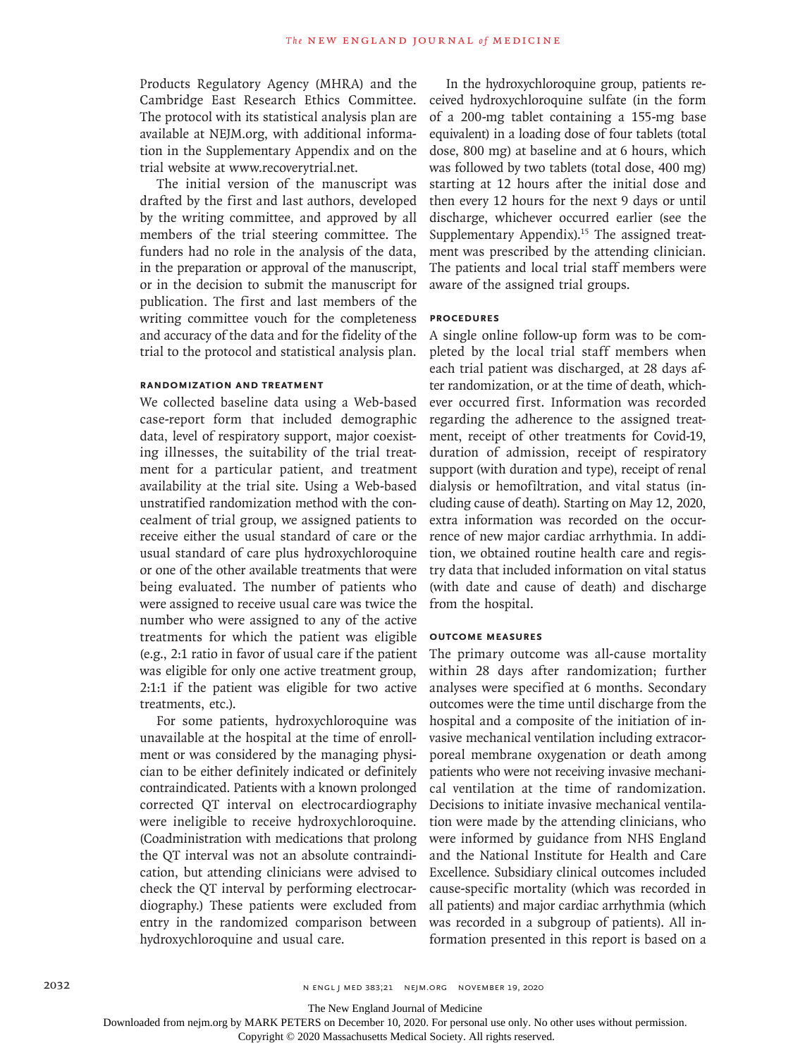Products Regulatory Agency (MHRA) and the Cambridge East Research Ethics Committee. The protocol with its statistical analysis plan are available at NEJM.org, with additional information in the Supplementary Appendix and on the trial website at www.recoverytrial.net.

The initial version of the manuscript was drafted by the first and last authors, developed by the writing committee, and approved by all members of the trial steering committee. The funders had no role in the analysis of the data, in the preparation or approval of the manuscript, or in the decision to submit the manuscript for publication. The first and last members of the writing committee vouch for the completeness and accuracy of the data and for the fidelity of the trial to the protocol and statistical analysis plan.

## **Randomization and Treatment**

We collected baseline data using a Web-based case-report form that included demographic data, level of respiratory support, major coexisting illnesses, the suitability of the trial treatment for a particular patient, and treatment availability at the trial site. Using a Web-based unstratified randomization method with the concealment of trial group, we assigned patients to receive either the usual standard of care or the usual standard of care plus hydroxychloroquine or one of the other available treatments that were being evaluated. The number of patients who were assigned to receive usual care was twice the number who were assigned to any of the active treatments for which the patient was eligible (e.g., 2:1 ratio in favor of usual care if the patient was eligible for only one active treatment group, 2:1:1 if the patient was eligible for two active treatments, etc.).

For some patients, hydroxychloroquine was unavailable at the hospital at the time of enrollment or was considered by the managing physician to be either definitely indicated or definitely contraindicated. Patients with a known prolonged corrected QT interval on electrocardiography were ineligible to receive hydroxychloroquine. (Coadministration with medications that prolong the QT interval was not an absolute contraindication, but attending clinicians were advised to check the QT interval by performing electrocardiography.) These patients were excluded from entry in the randomized comparison between hydroxychloroquine and usual care.

In the hydroxychloroquine group, patients received hydroxychloroquine sulfate (in the form of a 200-mg tablet containing a 155-mg base equivalent) in a loading dose of four tablets (total dose, 800 mg) at baseline and at 6 hours, which was followed by two tablets (total dose, 400 mg) starting at 12 hours after the initial dose and then every 12 hours for the next 9 days or until discharge, whichever occurred earlier (see the Supplementary Appendix).<sup>15</sup> The assigned treatment was prescribed by the attending clinician. The patients and local trial staff members were aware of the assigned trial groups.

## **Procedures**

A single online follow-up form was to be completed by the local trial staff members when each trial patient was discharged, at 28 days after randomization, or at the time of death, whichever occurred first. Information was recorded regarding the adherence to the assigned treatment, receipt of other treatments for Covid-19, duration of admission, receipt of respiratory support (with duration and type), receipt of renal dialysis or hemofiltration, and vital status (including cause of death). Starting on May 12, 2020, extra information was recorded on the occurrence of new major cardiac arrhythmia. In addition, we obtained routine health care and registry data that included information on vital status (with date and cause of death) and discharge from the hospital.

# **Outcome Measures**

The primary outcome was all-cause mortality within 28 days after randomization; further analyses were specified at 6 months. Secondary outcomes were the time until discharge from the hospital and a composite of the initiation of invasive mechanical ventilation including extracorporeal membrane oxygenation or death among patients who were not receiving invasive mechanical ventilation at the time of randomization. Decisions to initiate invasive mechanical ventilation were made by the attending clinicians, who were informed by guidance from NHS England and the National Institute for Health and Care Excellence. Subsidiary clinical outcomes included cause-specific mortality (which was recorded in all patients) and major cardiac arrhythmia (which was recorded in a subgroup of patients). All information presented in this report is based on a

The New England Journal of Medicine

Downloaded from nejm.org by MARK PETERS on December 10, 2020. For personal use only. No other uses without permission.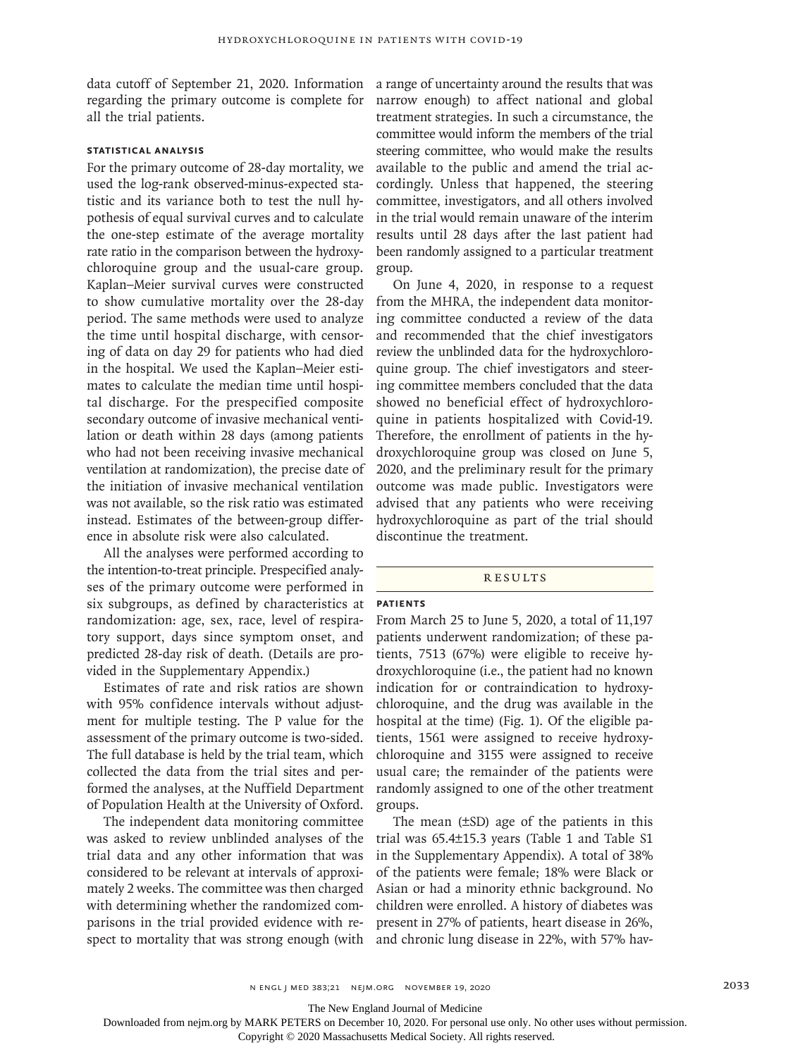data cutoff of September 21, 2020. Information regarding the primary outcome is complete for all the trial patients.

## **Statistical Analysis**

For the primary outcome of 28-day mortality, we used the log-rank observed-minus-expected statistic and its variance both to test the null hypothesis of equal survival curves and to calculate the one-step estimate of the average mortality rate ratio in the comparison between the hydroxychloroquine group and the usual-care group. Kaplan–Meier survival curves were constructed to show cumulative mortality over the 28-day period. The same methods were used to analyze the time until hospital discharge, with censoring of data on day 29 for patients who had died in the hospital. We used the Kaplan–Meier estimates to calculate the median time until hospital discharge. For the prespecified composite secondary outcome of invasive mechanical ventilation or death within 28 days (among patients who had not been receiving invasive mechanical ventilation at randomization), the precise date of the initiation of invasive mechanical ventilation was not available, so the risk ratio was estimated instead. Estimates of the between-group difference in absolute risk were also calculated.

All the analyses were performed according to the intention-to-treat principle. Prespecified analyses of the primary outcome were performed in six subgroups, as defined by characteristics at randomization: age, sex, race, level of respiratory support, days since symptom onset, and predicted 28-day risk of death. (Details are provided in the Supplementary Appendix.)

Estimates of rate and risk ratios are shown with 95% confidence intervals without adjustment for multiple testing. The P value for the assessment of the primary outcome is two-sided. The full database is held by the trial team, which collected the data from the trial sites and performed the analyses, at the Nuffield Department of Population Health at the University of Oxford.

The independent data monitoring committee was asked to review unblinded analyses of the trial data and any other information that was considered to be relevant at intervals of approximately 2 weeks. The committee was then charged with determining whether the randomized comparisons in the trial provided evidence with respect to mortality that was strong enough (with a range of uncertainty around the results that was narrow enough) to affect national and global treatment strategies. In such a circumstance, the committee would inform the members of the trial steering committee, who would make the results available to the public and amend the trial accordingly. Unless that happened, the steering committee, investigators, and all others involved in the trial would remain unaware of the interim results until 28 days after the last patient had been randomly assigned to a particular treatment group.

On June 4, 2020, in response to a request from the MHRA, the independent data monitoring committee conducted a review of the data and recommended that the chief investigators review the unblinded data for the hydroxychloroquine group. The chief investigators and steering committee members concluded that the data showed no beneficial effect of hydroxychloroquine in patients hospitalized with Covid-19. Therefore, the enrollment of patients in the hydroxychloroquine group was closed on June 5, 2020, and the preliminary result for the primary outcome was made public. Investigators were advised that any patients who were receiving hydroxychloroquine as part of the trial should discontinue the treatment.

#### **RESULTS**

#### **Patients**

From March 25 to June 5, 2020, a total of 11,197 patients underwent randomization; of these patients, 7513 (67%) were eligible to receive hydroxychloroquine (i.e., the patient had no known indication for or contraindication to hydroxychloroquine, and the drug was available in the hospital at the time) (Fig. 1). Of the eligible patients, 1561 were assigned to receive hydroxychloroquine and 3155 were assigned to receive usual care; the remainder of the patients were randomly assigned to one of the other treatment groups.

The mean (±SD) age of the patients in this trial was 65.4±15.3 years (Table 1 and Table S1 in the Supplementary Appendix). A total of 38% of the patients were female; 18% were Black or Asian or had a minority ethnic background. No children were enrolled. A history of diabetes was present in 27% of patients, heart disease in 26%, and chronic lung disease in 22%, with 57% hav-

The New England Journal of Medicine

Downloaded from nejm.org by MARK PETERS on December 10, 2020. For personal use only. No other uses without permission.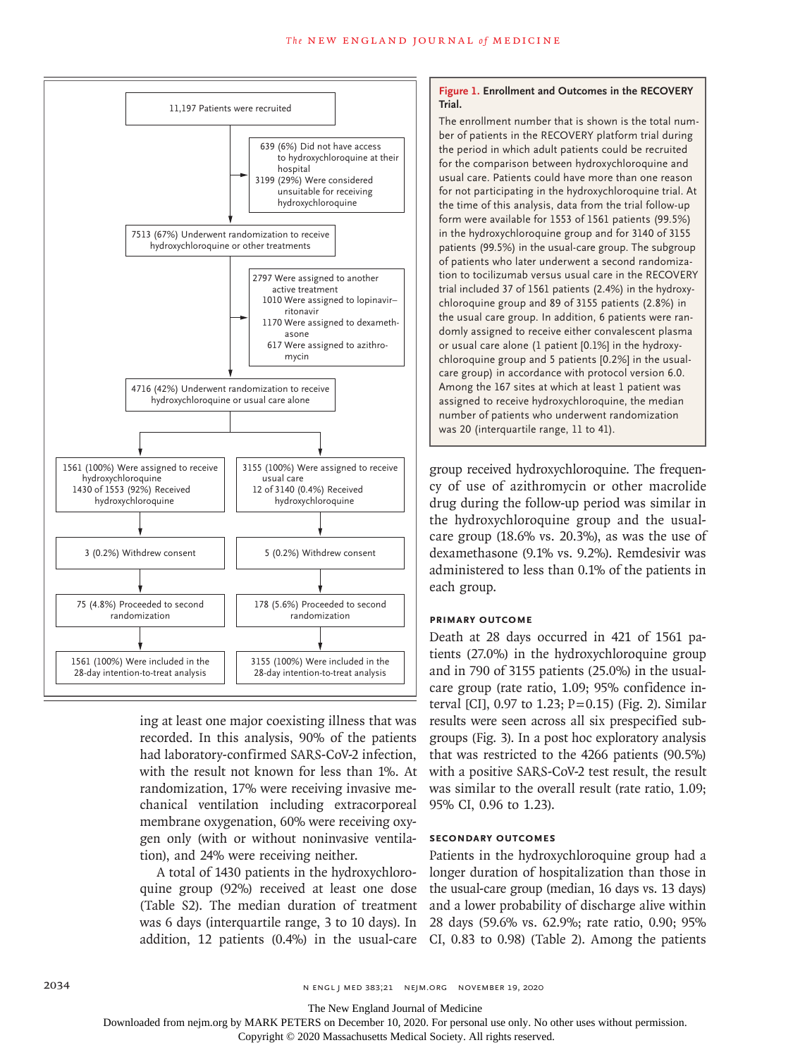

ing at least one major coexisting illness that was recorded. In this analysis, 90% of the patients had laboratory-confirmed SARS-CoV-2 infection, with the result not known for less than 1%. At randomization, 17% were receiving invasive mechanical ventilation including extracorporeal membrane oxygenation, 60% were receiving oxygen only (with or without noninvasive ventilation), and 24% were receiving neither.

A total of 1430 patients in the hydroxychloroquine group (92%) received at least one dose addition, 12 patients (0.4%) in the usual-care CI, 0.83 to 0.98) (Table 2). Among the patients

### **Figure 1. Enrollment and Outcomes in the RECOVERY Trial.**

The enrollment number that is shown is the total number of patients in the RECOVERY platform trial during the period in which adult patients could be recruited for the comparison between hydroxychloroquine and usual care. Patients could have more than one reason for not participating in the hydroxychloroquine trial. At the time of this analysis, data from the trial follow-up form were available for 1553 of 1561 patients (99.5%) in the hydroxychloroquine group and for 3140 of 3155 patients (99.5%) in the usual-care group. The subgroup of patients who later underwent a second randomization to tocilizumab versus usual care in the RECOVERY trial included 37 of 1561 patients (2.4%) in the hydroxychloroquine group and 89 of 3155 patients (2.8%) in the usual care group. In addition, 6 patients were randomly assigned to receive either convalescent plasma or usual care alone (1 patient [0.1%] in the hydroxychloroquine group and 5 patients [0.2%] in the usualcare group) in accordance with protocol version 6.0. Among the 167 sites at which at least 1 patient was assigned to receive hydroxychloroquine, the median number of patients who underwent randomization was 20 (interquartile range, 11 to 41).

group received hydroxychloroquine. The frequency of use of azithromycin or other macrolide drug during the follow-up period was similar in the hydroxychloroquine group and the usualcare group (18.6% vs. 20.3%), as was the use of dexamethasone (9.1% vs. 9.2%). Remdesivir was administered to less than 0.1% of the patients in each group.

## **Primary Outcome**

Death at 28 days occurred in 421 of 1561 patients (27.0%) in the hydroxychloroquine group and in 790 of 3155 patients (25.0%) in the usualcare group (rate ratio, 1.09; 95% confidence interval [CI],  $0.97$  to 1.23; P=0.15) (Fig. 2). Similar results were seen across all six prespecified subgroups (Fig. 3). In a post hoc exploratory analysis that was restricted to the 4266 patients (90.5%) with a positive SARS-CoV-2 test result, the result was similar to the overall result (rate ratio, 1.09; 95% CI, 0.96 to 1.23).

## **Secondary Outcomes**

(Table S2). The median duration of treatment and a lower probability of discharge alive within was 6 days (interquartile range, 3 to 10 days). In 28 days (59.6% vs. 62.9%; rate ratio, 0.90; 95% Patients in the hydroxychloroquine group had a longer duration of hospitalization than those in the usual-care group (median, 16 days vs. 13 days)

2034 n engl j med 383;21 nejm.org November 19, 2020

The New England Journal of Medicine

Downloaded from nejm.org by MARK PETERS on December 10, 2020. For personal use only. No other uses without permission.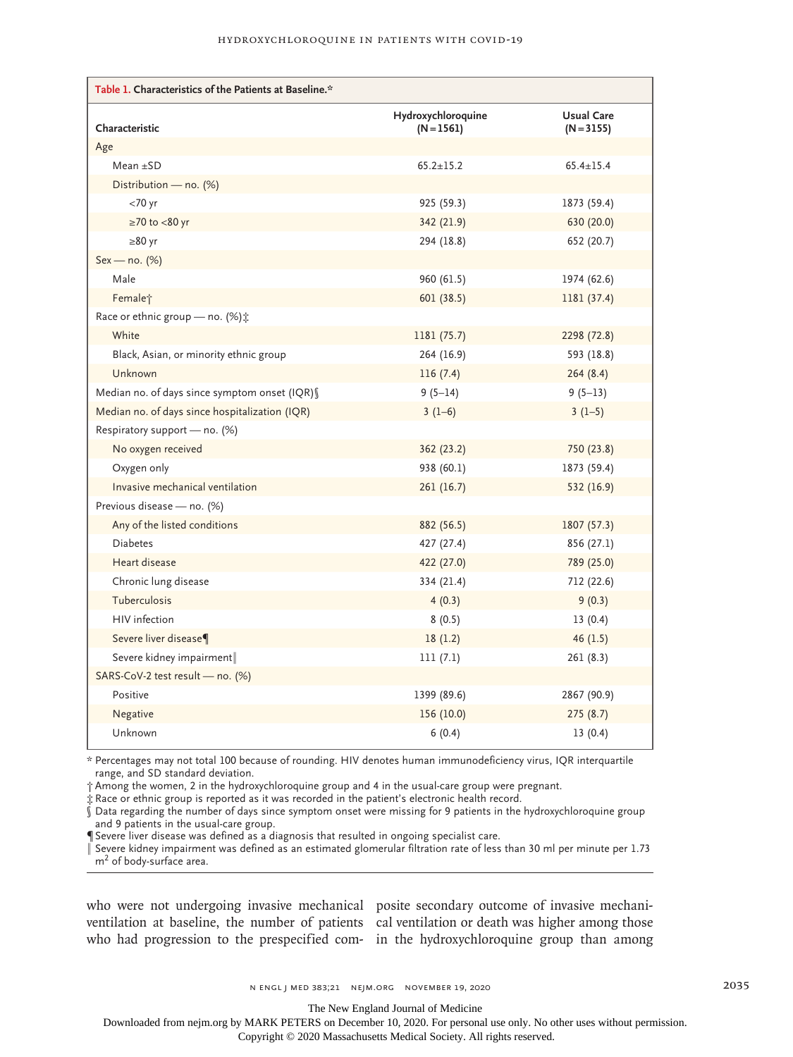| Table 1. Characteristics of the Patients at Baseline.* |                                    |                                   |  |  |  |
|--------------------------------------------------------|------------------------------------|-----------------------------------|--|--|--|
| Characteristic                                         | Hydroxychloroquine<br>$(N = 1561)$ | <b>Usual Care</b><br>$(N = 3155)$ |  |  |  |
| Age                                                    |                                    |                                   |  |  |  |
| Mean $\pm$ SD                                          | $65.2 \pm 15.2$                    | $65.4 \pm 15.4$                   |  |  |  |
| Distribution — no. $(\%)$                              |                                    |                                   |  |  |  |
| $<$ 70 yr                                              | 925 (59.3)                         | 1873 (59.4)                       |  |  |  |
| $\geq$ 70 to <80 yr                                    | 342 (21.9)                         | 630 (20.0)                        |  |  |  |
| $\geq 80$ yr                                           | 294 (18.8)                         | 652 (20.7)                        |  |  |  |
| $Sex - no. (%)$                                        |                                    |                                   |  |  |  |
| Male                                                   | 960(61.5)                          | 1974 (62.6)                       |  |  |  |
| Female <sup>+</sup>                                    | 601(38.5)                          | 1181 (37.4)                       |  |  |  |
| Race or ethnic group - no. (%) :                       |                                    |                                   |  |  |  |
| White                                                  | 1181 (75.7)                        | 2298 (72.8)                       |  |  |  |
| Black, Asian, or minority ethnic group                 | 264 (16.9)                         | 593 (18.8)                        |  |  |  |
| Unknown                                                | 116(7.4)                           | 264(8.4)                          |  |  |  |
| Median no. of days since symptom onset (IQR) §         | $9(5-14)$                          | $9(5-13)$                         |  |  |  |
| Median no. of days since hospitalization (IQR)         | $3(1-6)$                           | $3(1-5)$                          |  |  |  |
| Respiratory support - no. (%)                          |                                    |                                   |  |  |  |
| No oxygen received                                     | 362 (23.2)                         | 750 (23.8)                        |  |  |  |
| Oxygen only                                            | 938 (60.1)                         | 1873 (59.4)                       |  |  |  |
| Invasive mechanical ventilation                        | 261(16.7)                          | 532 (16.9)                        |  |  |  |
| Previous disease - no. (%)                             |                                    |                                   |  |  |  |
| Any of the listed conditions                           | 882 (56.5)                         | 1807 (57.3)                       |  |  |  |
| <b>Diabetes</b>                                        | 427 (27.4)                         | 856 (27.1)                        |  |  |  |
| Heart disease                                          | 422 (27.0)                         | 789 (25.0)                        |  |  |  |
| Chronic lung disease                                   | 334 (21.4)                         | 712 (22.6)                        |  |  |  |
| Tuberculosis                                           | 4(0.3)                             | 9(0.3)                            |  |  |  |
| HIV infection                                          | 8(0.5)                             | 13(0.4)                           |  |  |  |
| Severe liver disease¶                                  | 18(1.2)                            | 46(1.5)                           |  |  |  |
| Severe kidney impairment                               | 111(7.1)                           | 261 (8.3)                         |  |  |  |
| SARS-CoV-2 test result - no. (%)                       |                                    |                                   |  |  |  |
| Positive                                               | 1399 (89.6)                        | 2867 (90.9)                       |  |  |  |
| Negative                                               | 156 (10.0)                         | 275 (8.7)                         |  |  |  |
| Unknown                                                | 6(0.4)                             | 13(0.4)                           |  |  |  |

\* Percentages may not total 100 because of rounding. HIV denotes human immunodeficiency virus, IQR interquartile range, and SD standard deviation.

† Among the women, 2 in the hydroxychloroquine group and 4 in the usual-care group were pregnant.

‡ Race or ethnic group is reported as it was recorded in the patient's electronic health record.

 $\hat{\S}$  Data regarding the number of days since symptom onset were missing for 9 patients in the hydroxychloroquine group and 9 patients in the usual-care group.

¶ Severe liver disease was defined as a diagnosis that resulted in ongoing specialist care.

‖ Severe kidney impairment was defined as an estimated glomerular filtration rate of less than 30 ml per minute per 1.73 m<sup>2</sup> of body-surface area.

who were not undergoing invasive mechanical posite secondary outcome of invasive mechaniventilation at baseline, the number of patients cal ventilation or death was higher among those

who had progression to the prespecified com-in the hydroxychloroquine group than among

The New England Journal of Medicine

Downloaded from nejm.org by MARK PETERS on December 10, 2020. For personal use only. No other uses without permission.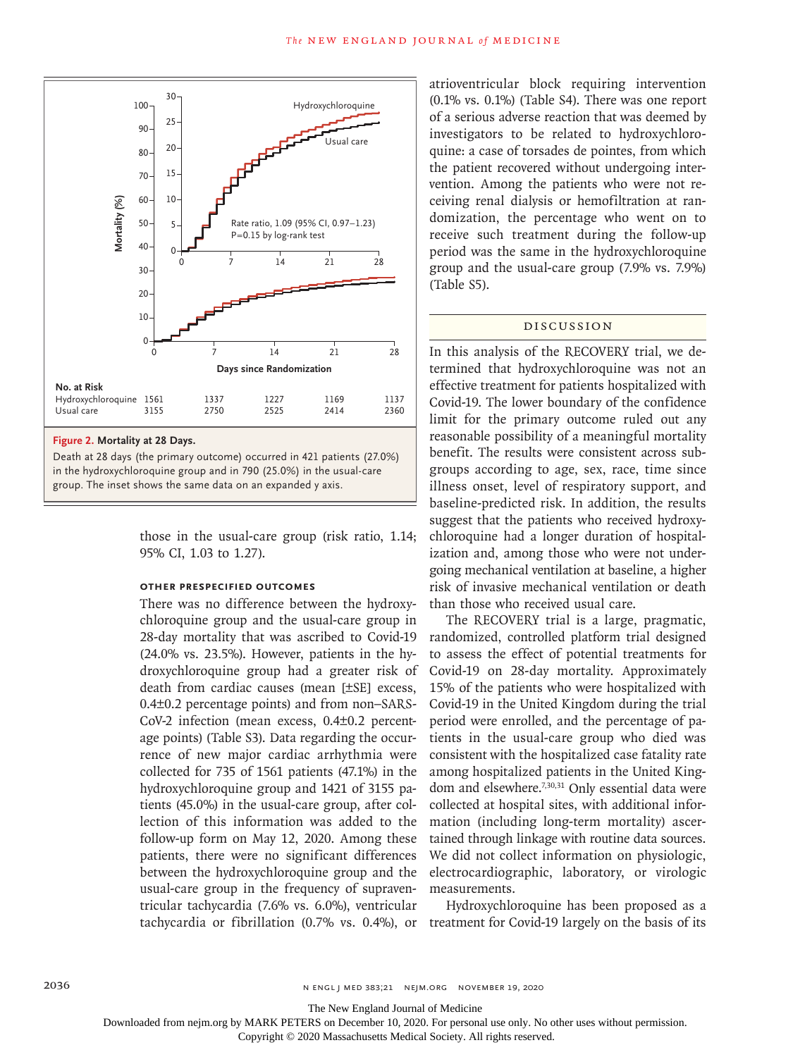

Death at 28 days (the primary outcome) occurred in 421 patients (27.0%) in the hydroxychloroquine group and in 790 (25.0%) in the usual-care

> those in the usual-care group (risk ratio, 1.14; 95% CI, 1.03 to 1.27).

## **Other Prespecified Outcomes**

There was no difference between the hydroxychloroquine group and the usual-care group in 28-day mortality that was ascribed to Covid-19 (24.0% vs. 23.5%). However, patients in the hydroxychloroquine group had a greater risk of death from cardiac causes (mean [±SE] excess, 0.4±0.2 percentage points) and from non–SARS-CoV-2 infection (mean excess, 0.4±0.2 percentage points) (Table S3). Data regarding the occurrence of new major cardiac arrhythmia were collected for 735 of 1561 patients (47.1%) in the hydroxychloroquine group and 1421 of 3155 patients (45.0%) in the usual-care group, after collection of this information was added to the follow-up form on May 12, 2020. Among these patients, there were no significant differences between the hydroxychloroquine group and the usual-care group in the frequency of supraventricular tachycardia (7.6% vs. 6.0%), ventricular tachycardia or fibrillation (0.7% vs. 0.4%), or treatment for Covid-19 largely on the basis of its

atrioventricular block requiring intervention (0.1% vs. 0.1%) (Table S4). There was one report of a serious adverse reaction that was deemed by investigators to be related to hydroxychloroquine: a case of torsades de pointes, from which the patient recovered without undergoing intervention. Among the patients who were not receiving renal dialysis or hemofiltration at randomization, the percentage who went on to receive such treatment during the follow-up period was the same in the hydroxychloroquine group and the usual-care group (7.9% vs. 7.9%) (Table S5).

## Discussion

In this analysis of the RECOVERY trial, we determined that hydroxychloroquine was not an effective treatment for patients hospitalized with Covid-19. The lower boundary of the confidence limit for the primary outcome ruled out any reasonable possibility of a meaningful mortality benefit. The results were consistent across subgroups according to age, sex, race, time since illness onset, level of respiratory support, and baseline-predicted risk. In addition, the results suggest that the patients who received hydroxychloroquine had a longer duration of hospitalization and, among those who were not undergoing mechanical ventilation at baseline, a higher risk of invasive mechanical ventilation or death than those who received usual care.

The RECOVERY trial is a large, pragmatic, randomized, controlled platform trial designed to assess the effect of potential treatments for Covid-19 on 28-day mortality. Approximately 15% of the patients who were hospitalized with Covid-19 in the United Kingdom during the trial period were enrolled, and the percentage of patients in the usual-care group who died was consistent with the hospitalized case fatality rate among hospitalized patients in the United Kingdom and elsewhere.<sup>7,30,31</sup> Only essential data were collected at hospital sites, with additional information (including long-term mortality) ascertained through linkage with routine data sources. We did not collect information on physiologic, electrocardiographic, laboratory, or virologic measurements.

Hydroxychloroquine has been proposed as a

The New England Journal of Medicine

Downloaded from nejm.org by MARK PETERS on December 10, 2020. For personal use only. No other uses without permission.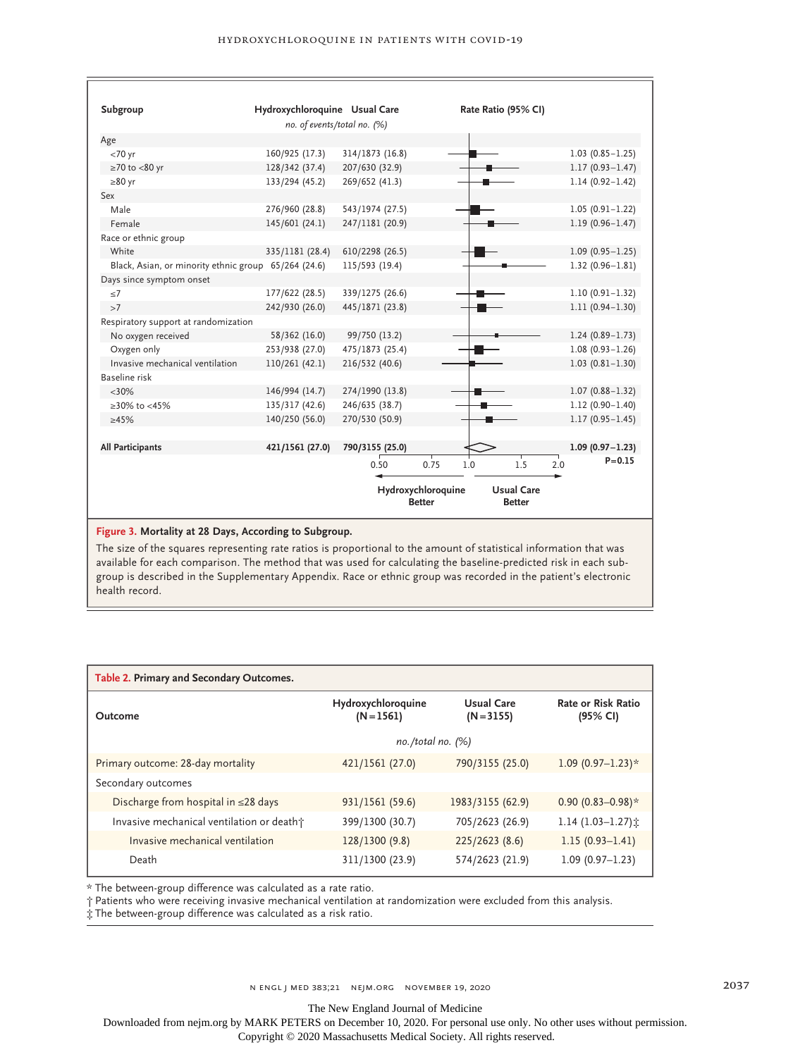| Subgroup                                             | Hydroxychloroquine Usual Care |                                                                           |      | Rate Ratio (95% CI) |                     |
|------------------------------------------------------|-------------------------------|---------------------------------------------------------------------------|------|---------------------|---------------------|
|                                                      | no. of events/total no. (%)   |                                                                           |      |                     |                     |
| Age                                                  |                               |                                                                           |      |                     |                     |
| $<70$ yr                                             | 160/925 (17.3)                | 314/1873 (16.8)                                                           |      |                     | $1.03(0.85 - 1.25)$ |
| $\geq$ 70 to <80 yr                                  | 128/342 (37.4)                | 207/630 (32.9)                                                            |      |                     | $1.17(0.93 - 1.47)$ |
| $\geq 80$ yr                                         | 133/294 (45.2)                | 269/652 (41.3)                                                            |      |                     | $1.14(0.92 - 1.42)$ |
| Sex                                                  |                               |                                                                           |      |                     |                     |
| Male                                                 | 276/960 (28.8)                | 543/1974 (27.5)                                                           |      |                     | $1.05(0.91 - 1.22)$ |
| Female                                               | 145/601 (24.1)                | 247/1181 (20.9)                                                           |      |                     | $1.19(0.96 - 1.47)$ |
| Race or ethnic group                                 |                               |                                                                           |      |                     |                     |
| White                                                | 335/1181 (28.4)               | 610/2298 (26.5)                                                           |      |                     | $1.09(0.95 - 1.25)$ |
| Black, Asian, or minority ethnic group 65/264 (24.6) |                               | 115/593 (19.4)                                                            |      |                     | $1.32(0.96 - 1.81)$ |
| Days since symptom onset                             |                               |                                                                           |      |                     |                     |
| < 7                                                  | 177/622 (28.5)                | 339/1275 (26.6)                                                           |      |                     | $1.10(0.91 - 1.32)$ |
| >7                                                   | 242/930 (26.0)                | 445/1871 (23.8)                                                           |      |                     | $1.11(0.94 - 1.30)$ |
| Respiratory support at randomization                 |                               |                                                                           |      |                     |                     |
| No oxygen received                                   | 58/362 (16.0)                 | 99/750 (13.2)                                                             |      |                     | $1.24(0.89 - 1.73)$ |
| Oxygen only                                          | 253/938 (27.0)                | 475/1873 (25.4)                                                           |      |                     | $1.08(0.93 - 1.26)$ |
| Invasive mechanical ventilation                      | 110/261 (42.1)                | 216/532 (40.6)                                                            |      |                     | $1.03(0.81 - 1.30)$ |
| Baseline risk                                        |                               |                                                                           |      |                     |                     |
| $<30\%$                                              | 146/994 (14.7)                | 274/1990 (13.8)                                                           |      |                     | $1.07(0.88 - 1.32)$ |
| ≥30% to <45%                                         | 135/317 (42.6)                | 246/635 (38.7)                                                            |      |                     | $1.12(0.90 - 1.40)$ |
| $\geq 45\%$                                          | 140/250 (56.0)                | 270/530 (50.9)                                                            |      |                     | $1.17(0.95 - 1.45)$ |
|                                                      |                               |                                                                           |      |                     |                     |
| <b>All Participants</b>                              | 421/1561 (27.0)               | 790/3155 (25.0)                                                           |      |                     | $1.09(0.97 - 1.23)$ |
|                                                      |                               | 0.50                                                                      | 0.75 | 1.5<br>1.0          | $P = 0.15$<br>2.0   |
|                                                      |                               | Hydroxychloroquine<br><b>Usual Care</b><br><b>Better</b><br><b>Better</b> |      |                     |                     |

**Figure 3. Mortality at 28 Days, According to Subgroup.**

The size of the squares representing rate ratios is proportional to the amount of statistical information that was available for each comparison. The method that was used for calculating the baseline-predicted risk in each subgroup is described in the Supplementary Appendix. Race or ethnic group was recorded in the patient's electronic health record.

| Table 2. Primary and Secondary Outcomes.  |                                    |                            |                                       |  |  |
|-------------------------------------------|------------------------------------|----------------------------|---------------------------------------|--|--|
| Outcome                                   | Hydroxychloroquine<br>$(N = 1561)$ | Usual Care<br>$(N = 3155)$ | <b>Rate or Risk Ratio</b><br>(95% CI) |  |  |
|                                           | $no. /total no.$ (%)               |                            |                                       |  |  |
| Primary outcome: 28-day mortality         | 421/1561 (27.0)                    | 790/3155 (25.0)            | 1.09 $(0.97-1.23)*$                   |  |  |
| Secondary outcomes                        |                                    |                            |                                       |  |  |
| Discharge from hospital in $\leq$ 28 days | 931/1561 (59.6)                    | 1983/3155 (62.9)           | $0.90(0.83 - 0.98)*$                  |  |  |
| Invasive mechanical ventilation or death† | 399/1300 (30.7)                    | 705/2623 (26.9)            | 1.14 $(1.03-1.27)$ :                  |  |  |
| Invasive mechanical ventilation           | 128/1300 (9.8)                     | 225/2623 (8.6)             | $1.15(0.93 - 1.41)$                   |  |  |
| Death                                     | 311/1300 (23.9)                    | 574/2623 (21.9)            | $1.09(0.97 - 1.23)$                   |  |  |

\* The between-group difference was calculated as a rate ratio.

† Patients who were receiving invasive mechanical ventilation at randomization were excluded from this analysis.

‡ The between-group difference was calculated as a risk ratio.

The New England Journal of Medicine

Downloaded from nejm.org by MARK PETERS on December 10, 2020. For personal use only. No other uses without permission.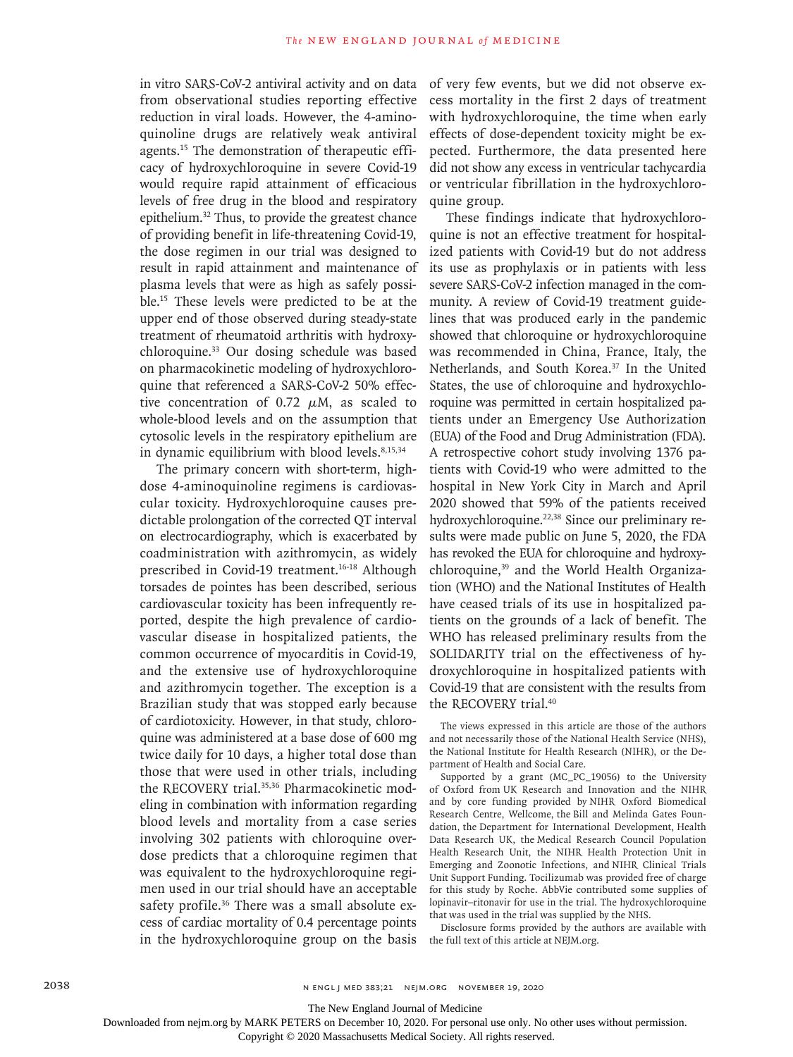in vitro SARS-CoV-2 antiviral activity and on data from observational studies reporting effective reduction in viral loads. However, the 4-aminoquinoline drugs are relatively weak antiviral agents.15 The demonstration of therapeutic efficacy of hydroxychloroquine in severe Covid-19 would require rapid attainment of efficacious levels of free drug in the blood and respiratory epithelium.32 Thus, to provide the greatest chance of providing benefit in life-threatening Covid-19, the dose regimen in our trial was designed to result in rapid attainment and maintenance of plasma levels that were as high as safely possible.15 These levels were predicted to be at the upper end of those observed during steady-state treatment of rheumatoid arthritis with hydroxychloroquine.33 Our dosing schedule was based on pharmacokinetic modeling of hydroxychloroquine that referenced a SARS-CoV-2 50% effective concentration of 0.72  $\mu$ M, as scaled to whole-blood levels and on the assumption that cytosolic levels in the respiratory epithelium are in dynamic equilibrium with blood levels. $8,15,34$ 

The primary concern with short-term, highdose 4-aminoquinoline regimens is cardiovascular toxicity. Hydroxychloroquine causes predictable prolongation of the corrected QT interval on electrocardiography, which is exacerbated by coadministration with azithromycin, as widely prescribed in Covid-19 treatment.<sup>16-18</sup> Although torsades de pointes has been described, serious cardiovascular toxicity has been infrequently reported, despite the high prevalence of cardiovascular disease in hospitalized patients, the common occurrence of myocarditis in Covid-19, and the extensive use of hydroxychloroquine and azithromycin together. The exception is a Brazilian study that was stopped early because of cardiotoxicity. However, in that study, chloroquine was administered at a base dose of 600 mg twice daily for 10 days, a higher total dose than those that were used in other trials, including the RECOVERY trial.<sup>35,36</sup> Pharmacokinetic modeling in combination with information regarding blood levels and mortality from a case series involving 302 patients with chloroquine overdose predicts that a chloroquine regimen that was equivalent to the hydroxychloroquine regimen used in our trial should have an acceptable safety profile.<sup>36</sup> There was a small absolute excess of cardiac mortality of 0.4 percentage points in the hydroxychloroquine group on the basis

of very few events, but we did not observe excess mortality in the first 2 days of treatment with hydroxychloroquine, the time when early effects of dose-dependent toxicity might be expected. Furthermore, the data presented here did not show any excess in ventricular tachycardia or ventricular fibrillation in the hydroxychloroquine group.

These findings indicate that hydroxychloroquine is not an effective treatment for hospitalized patients with Covid-19 but do not address its use as prophylaxis or in patients with less severe SARS-CoV-2 infection managed in the community. A review of Covid-19 treatment guidelines that was produced early in the pandemic showed that chloroquine or hydroxychloroquine was recommended in China, France, Italy, the Netherlands, and South Korea.<sup>37</sup> In the United States, the use of chloroquine and hydroxychloroquine was permitted in certain hospitalized patients under an Emergency Use Authorization (EUA) of the Food and Drug Administration (FDA). A retrospective cohort study involving 1376 patients with Covid-19 who were admitted to the hospital in New York City in March and April 2020 showed that 59% of the patients received hydroxychloroquine.<sup>22,38</sup> Since our preliminary results were made public on June 5, 2020, the FDA has revoked the EUA for chloroquine and hydroxychloroquine,<sup>39</sup> and the World Health Organization (WHO) and the National Institutes of Health have ceased trials of its use in hospitalized patients on the grounds of a lack of benefit. The WHO has released preliminary results from the SOLIDARITY trial on the effectiveness of hydroxychloroquine in hospitalized patients with Covid-19 that are consistent with the results from the RECOVERY trial.<sup>40</sup>

The views expressed in this article are those of the authors and not necessarily those of the National Health Service (NHS), the National Institute for Health Research (NIHR), or the Department of Health and Social Care.

Supported by a grant (MC\_PC\_19056) to the University of Oxford from UK Research and Innovation and the NIHR and by core funding provided by NIHR Oxford Biomedical Research Centre, Wellcome, the Bill and Melinda Gates Foundation, the Department for International Development, Health Data Research UK, the Medical Research Council Population Health Research Unit, the NIHR Health Protection Unit in Emerging and Zoonotic Infections, and NIHR Clinical Trials Unit Support Funding. Tocilizumab was provided free of charge for this study by Roche. AbbVie contributed some supplies of lopinavir–ritonavir for use in the trial. The hydroxychloroquine that was used in the trial was supplied by the NHS.

Disclosure forms provided by the authors are available with the full text of this article at NEJM.org.

The New England Journal of Medicine

Downloaded from nejm.org by MARK PETERS on December 10, 2020. For personal use only. No other uses without permission.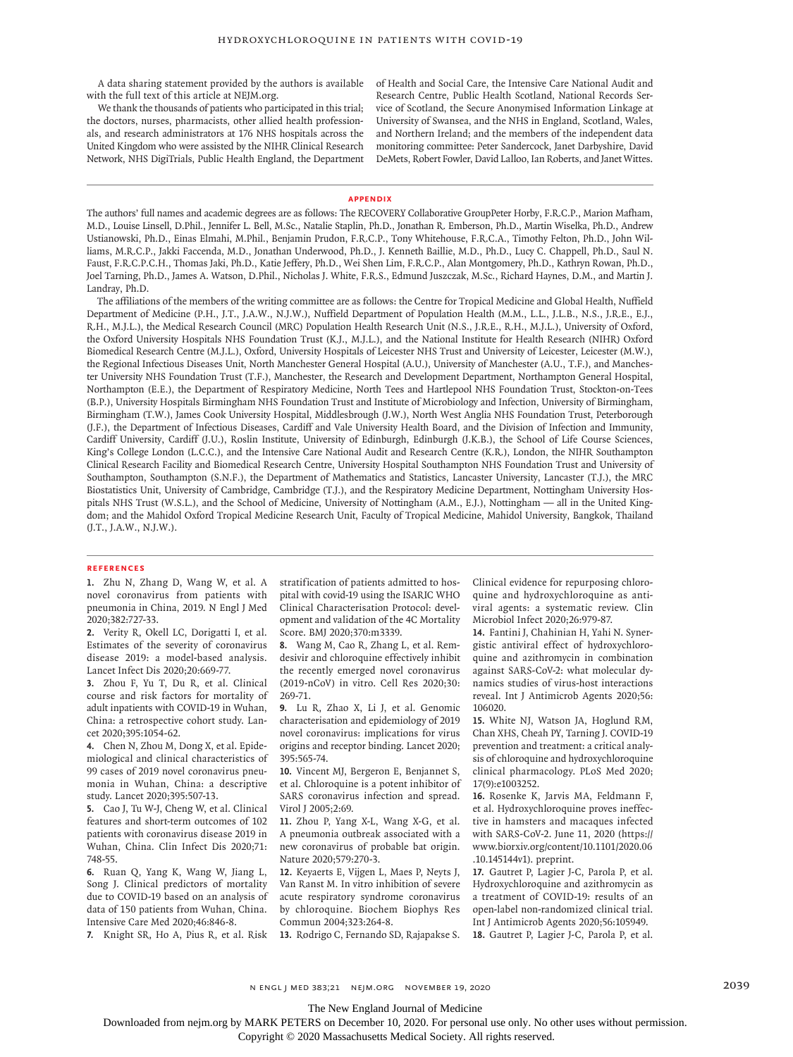A data sharing statement provided by the authors is available with the full text of this article at NEJM.org.

We thank the thousands of patients who participated in this trial; the doctors, nurses, pharmacists, other allied health professionals, and research administrators at 176 NHS hospitals across the United Kingdom who were assisted by the NIHR Clinical Research Network, NHS DigiTrials, Public Health England, the Department of Health and Social Care, the Intensive Care National Audit and Research Centre, Public Health Scotland, National Records Service of Scotland, the Secure Anonymised Information Linkage at University of Swansea, and the NHS in England, Scotland, Wales, and Northern Ireland; and the members of the independent data monitoring committee: Peter Sandercock, Janet Darbyshire, David DeMets, Robert Fowler, David Lalloo, Ian Roberts, and Janet Wittes.

#### **Appendix**

The authors' full names and academic degrees are as follows: The RECOVERY Collaborative GroupPeter Horby, F.R.C.P., Marion Mafham, M.D., Louise Linsell, D.Phil., Jennifer L. Bell, M.Sc., Natalie Staplin, Ph.D., Jonathan R. Emberson, Ph.D., Martin Wiselka, Ph.D., Andrew Ustianowski, Ph.D., Einas Elmahi, M.Phil., Benjamin Prudon, F.R.C.P., Tony Whitehouse, F.R.C.A., Timothy Felton, Ph.D., John Williams, M.R.C.P., Jakki Faccenda, M.D., Jonathan Underwood, Ph.D., J. Kenneth Baillie, M.D., Ph.D., Lucy C. Chappell, Ph.D., Saul N. Faust, F.R.C.P.C.H., Thomas Jaki, Ph.D., Katie Jeffery, Ph.D., Wei Shen Lim, F.R.C.P., Alan Montgomery, Ph.D., Kathryn Rowan, Ph.D., Joel Tarning, Ph.D., James A. Watson, D.Phil., Nicholas J. White, F.R.S., Edmund Juszczak, M.Sc., Richard Haynes, D.M., and Martin J. Landray, Ph.D.

The affiliations of the members of the writing committee are as follows: the Centre for Tropical Medicine and Global Health, Nuffield Department of Medicine (P.H., J.T., J.A.W., N.J.W.), Nuffield Department of Population Health (M.M., L.L., J.L.B., N.S., J.R.E., E.J., R.H., M.J.L.), the Medical Research Council (MRC) Population Health Research Unit (N.S., J.R.E., R.H., M.J.L.), University of Oxford, the Oxford University Hospitals NHS Foundation Trust (K.J., M.J.L.), and the National Institute for Health Research (NIHR) Oxford Biomedical Research Centre (M.J.L.), Oxford, University Hospitals of Leicester NHS Trust and University of Leicester, Leicester (M.W.), the Regional Infectious Diseases Unit, North Manchester General Hospital (A.U.), University of Manchester (A.U., T.F.), and Manchester University NHS Foundation Trust (T.F.), Manchester, the Research and Development Department, Northampton General Hospital, Northampton (E.E.), the Department of Respiratory Medicine, North Tees and Hartlepool NHS Foundation Trust, Stockton-on-Tees (B.P.), University Hospitals Birmingham NHS Foundation Trust and Institute of Microbiology and Infection, University of Birmingham, Birmingham (T.W.), James Cook University Hospital, Middlesbrough (J.W.), North West Anglia NHS Foundation Trust, Peterborough (J.F.), the Department of Infectious Diseases, Cardiff and Vale University Health Board, and the Division of Infection and Immunity, Cardiff University, Cardiff (J.U.), Roslin Institute, University of Edinburgh, Edinburgh (J.K.B.), the School of Life Course Sciences, King's College London (L.C.C.), and the Intensive Care National Audit and Research Centre (K.R.), London, the NIHR Southampton Clinical Research Facility and Biomedical Research Centre, University Hospital Southampton NHS Foundation Trust and University of Southampton, Southampton (S.N.F.), the Department of Mathematics and Statistics, Lancaster University, Lancaster (T.J.), the MRC Biostatistics Unit, University of Cambridge, Cambridge (T.J.), and the Respiratory Medicine Department, Nottingham University Hospitals NHS Trust (W.S.L.), and the School of Medicine, University of Nottingham (A.M., E.J.), Nottingham — all in the United Kingdom; and the Mahidol Oxford Tropical Medicine Research Unit, Faculty of Tropical Medicine, Mahidol University, Bangkok, Thailand (J.T., J.A.W., N.J.W.).

#### **References**

**1.** Zhu N, Zhang D, Wang W, et al. A novel coronavirus from patients with pneumonia in China, 2019. N Engl J Med 2020;382:727-33.

**2.** Verity R, Okell LC, Dorigatti I, et al. Estimates of the severity of coronavirus disease 2019: a model-based analysis. Lancet Infect Dis 2020;20:669-77.

**3.** Zhou F, Yu T, Du R, et al. Clinical course and risk factors for mortality of adult inpatients with COVID-19 in Wuhan, China: a retrospective cohort study. Lancet 2020;395:1054-62.

**4.** Chen N, Zhou M, Dong X, et al. Epidemiological and clinical characteristics of 99 cases of 2019 novel coronavirus pneumonia in Wuhan, China: a descriptive study. Lancet 2020;395:507-13.

**5.** Cao J, Tu W-J, Cheng W, et al. Clinical features and short-term outcomes of 102 patients with coronavirus disease 2019 in Wuhan, China. Clin Infect Dis 2020;71: 748-55.

**6.** Ruan Q, Yang K, Wang W, Jiang L, Song J. Clinical predictors of mortality due to COVID-19 based on an analysis of data of 150 patients from Wuhan, China. Intensive Care Med 2020;46:846-8.

**7.** Knight SR, Ho A, Pius R, et al. Risk

stratification of patients admitted to hospital with covid-19 using the ISARIC WHO Clinical Characterisation Protocol: development and validation of the 4C Mortality Score. BMJ 2020;370:m3339.

**8.** Wang M, Cao R, Zhang L, et al. Remdesivir and chloroquine effectively inhibit the recently emerged novel coronavirus (2019-nCoV) in vitro. Cell Res 2020;30: 269-71.

**9.** Lu R, Zhao X, Li J, et al. Genomic characterisation and epidemiology of 2019 novel coronavirus: implications for virus origins and receptor binding. Lancet 2020; 395:565-74.

**10.** Vincent MJ, Bergeron E, Benjannet S, et al. Chloroquine is a potent inhibitor of SARS coronavirus infection and spread. Virol J 2005;2:69.

**11.** Zhou P, Yang X-L, Wang X-G, et al. A pneumonia outbreak associated with a new coronavirus of probable bat origin. Nature 2020;579:270-3.

**12.** Keyaerts E, Vijgen L, Maes P, Neyts J, Van Ranst M. In vitro inhibition of severe acute respiratory syndrome coronavirus by chloroquine. Biochem Biophys Res Commun 2004;323:264-8.

**13.** Rodrigo C, Fernando SD, Rajapakse S.

Clinical evidence for repurposing chloroquine and hydroxychloroquine as antiviral agents: a systematic review. Clin Microbiol Infect 2020;26:979-87.

**14.** Fantini J, Chahinian H, Yahi N. Synergistic antiviral effect of hydroxychloroquine and azithromycin in combination against SARS-CoV-2: what molecular dynamics studies of virus-host interactions reveal. Int J Antimicrob Agents 2020;56: 106020.

**15.** White NJ, Watson JA, Hoglund RM, Chan XHS, Cheah PY, Tarning J. COVID-19 prevention and treatment: a critical analysis of chloroquine and hydroxychloroquine clinical pharmacology. PLoS Med 2020; 17(9):e1003252.

**16.** Rosenke K, Jarvis MA, Feldmann F, et al. Hydroxychloroquine proves ineffective in hamsters and macaques infected with SARS-CoV-2. June 11, 2020 (https:// www.biorxiv.org/content/10.1101/2020.06 .10.145144v1). preprint.

**17.** Gautret P, Lagier J-C, Parola P, et al. Hydroxychloroquine and azithromycin as a treatment of COVID-19: results of an open-label non-randomized clinical trial. Int J Antimicrob Agents 2020;56:105949. **18.** Gautret P, Lagier J-C, Parola P, et al.

The New England Journal of Medicine

Downloaded from nejm.org by MARK PETERS on December 10, 2020. For personal use only. No other uses without permission.